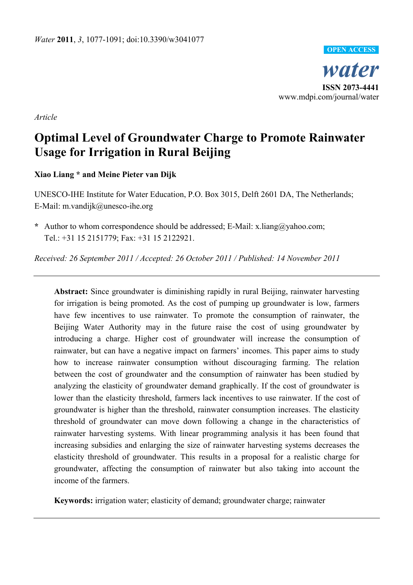

*Article* 

# **Optimal Level of Groundwater Charge to Promote Rainwater Usage for Irrigation in Rural Beijing**

**Xiao Liang \* and Meine Pieter van Dijk** 

UNESCO-IHE Institute for Water Education, P.O. Box 3015, Delft 2601 DA, The Netherlands; E-Mail: m.vandijk@unesco-ihe.org

**\*** Author to whom correspondence should be addressed; E-Mail: x.liang@yahoo.com; Tel.: +31 15 2151779; Fax: +31 15 2122921.

*Received: 26 September 2011 / Accepted: 26 October 2011 / Published: 14 November 2011* 

**Abstract:** Since groundwater is diminishing rapidly in rural Beijing, rainwater harvesting for irrigation is being promoted. As the cost of pumping up groundwater is low, farmers have few incentives to use rainwater. To promote the consumption of rainwater, the Beijing Water Authority may in the future raise the cost of using groundwater by introducing a charge. Higher cost of groundwater will increase the consumption of rainwater, but can have a negative impact on farmers' incomes. This paper aims to study how to increase rainwater consumption without discouraging farming. The relation between the cost of groundwater and the consumption of rainwater has been studied by analyzing the elasticity of groundwater demand graphically. If the cost of groundwater is lower than the elasticity threshold, farmers lack incentives to use rainwater. If the cost of groundwater is higher than the threshold, rainwater consumption increases. The elasticity threshold of groundwater can move down following a change in the characteristics of rainwater harvesting systems. With linear programming analysis it has been found that increasing subsidies and enlarging the size of rainwater harvesting systems decreases the elasticity threshold of groundwater. This results in a proposal for a realistic charge for groundwater, affecting the consumption of rainwater but also taking into account the income of the farmers.

**Keywords:** irrigation water; elasticity of demand; groundwater charge; rainwater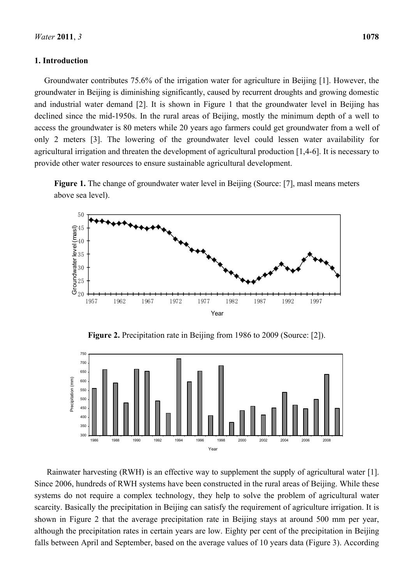### **1. Introduction**

Groundwater contributes 75.6% of the irrigation water for agriculture in Beijing [1]. However, the groundwater in Beijing is diminishing significantly, caused by recurrent droughts and growing domestic and industrial water demand [2]. It is shown in Figure 1 that the groundwater level in Beijing has declined since the mid-1950s. In the rural areas of Beijing, mostly the minimum depth of a well to access the groundwater is 80 meters while 20 years ago farmers could get groundwater from a well of only 2 meters [3]. The lowering of the groundwater level could lessen water availability for agricultural irrigation and threaten the development of agricultural production [1,4-6]. It is necessary to provide other water resources to ensure sustainable agricultural development.

**Figure 1.** The change of groundwater water level in Beijing (Source: [7], masl means meters above sea level).



**Figure 2.** Precipitation rate in Beijing from 1986 to 2009 (Source: [2]).



Rainwater harvesting (RWH) is an effective way to supplement the supply of agricultural water [1]. Since 2006, hundreds of RWH systems have been constructed in the rural areas of Beijing. While these systems do not require a complex technology, they help to solve the problem of agricultural water scarcity. Basically the precipitation in Beijing can satisfy the requirement of agriculture irrigation. It is shown in Figure 2 that the average precipitation rate in Beijing stays at around 500 mm per year, although the precipitation rates in certain years are low. Eighty per cent of the precipitation in Beijing falls between April and September, based on the average values of 10 years data (Figure 3). According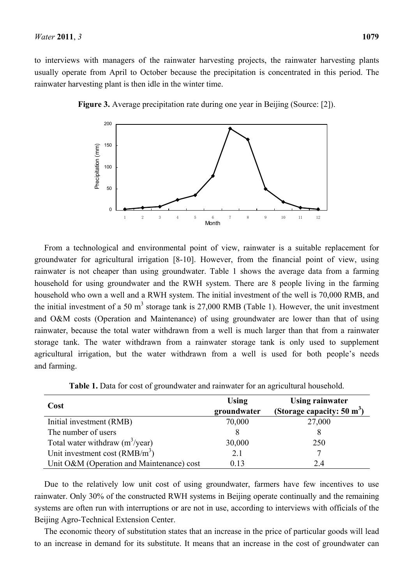to interviews with managers of the rainwater harvesting projects, the rainwater harvesting plants usually operate from April to October because the precipitation is concentrated in this period. The rainwater harvesting plant is then idle in the winter time.



**Figure 3.** Average precipitation rate during one year in Beijing (Source: [2]).

From a technological and environmental point of view, rainwater is a suitable replacement for groundwater for agricultural irrigation [8-10]. However, from the financial point of view, using rainwater is not cheaper than using groundwater. Table 1 shows the average data from a farming household for using groundwater and the RWH system. There are 8 people living in the farming household who own a well and a RWH system. The initial investment of the well is 70,000 RMB, and the initial investment of a 50  $m<sup>3</sup>$  storage tank is 27,000 RMB (Table 1). However, the unit investment and O&M costs (Operation and Maintenance) of using groundwater are lower than that of using rainwater, because the total water withdrawn from a well is much larger than that from a rainwater storage tank. The water withdrawn from a rainwater storage tank is only used to supplement agricultural irrigation, but the water withdrawn from a well is used for both people's needs and farming.

**Table 1.** Data for cost of groundwater and rainwater for an agricultural household.

| Cost                                      | <b>Using</b> | <b>Using rainwater</b>                |
|-------------------------------------------|--------------|---------------------------------------|
|                                           | groundwater  | (Storage capacity: $50 \text{ m}^3$ ) |
| Initial investment (RMB)                  | 70,000       | 27,000                                |
| The number of users                       |              |                                       |
| Total water withdraw $(m^3$ /year)        | 30,000       | 250                                   |
| Unit investment cost $(RMB/m3)$           | 2.1          |                                       |
| Unit O&M (Operation and Maintenance) cost | 0.13         | 24                                    |

Due to the relatively low unit cost of using groundwater, farmers have few incentives to use rainwater. Only 30% of the constructed RWH systems in Beijing operate continually and the remaining systems are often run with interruptions or are not in use, according to interviews with officials of the Beijing Agro-Technical Extension Center.

The economic theory of substitution states that an increase in the price of particular goods will lead to an increase in demand for its substitute. It means that an increase in the cost of groundwater can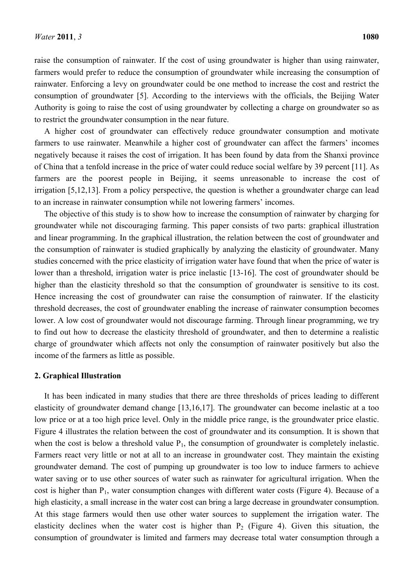raise the consumption of rainwater. If the cost of using groundwater is higher than using rainwater, farmers would prefer to reduce the consumption of groundwater while increasing the consumption of rainwater. Enforcing a levy on groundwater could be one method to increase the cost and restrict the consumption of groundwater [5]. According to the interviews with the officials, the Beijing Water Authority is going to raise the cost of using groundwater by collecting a charge on groundwater so as to restrict the groundwater consumption in the near future.

A higher cost of groundwater can effectively reduce groundwater consumption and motivate farmers to use rainwater. Meanwhile a higher cost of groundwater can affect the farmers' incomes negatively because it raises the cost of irrigation. It has been found by data from the Shanxi province of China that a tenfold increase in the price of water could reduce social welfare by 39 percent [11]. As farmers are the poorest people in Beijing, it seems unreasonable to increase the cost of irrigation [5,12,13]. From a policy perspective, the question is whether a groundwater charge can lead to an increase in rainwater consumption while not lowering farmers' incomes.

The objective of this study is to show how to increase the consumption of rainwater by charging for groundwater while not discouraging farming. This paper consists of two parts: graphical illustration and linear programming. In the graphical illustration, the relation between the cost of groundwater and the consumption of rainwater is studied graphically by analyzing the elasticity of groundwater. Many studies concerned with the price elasticity of irrigation water have found that when the price of water is lower than a threshold, irrigation water is price inelastic [13-16]. The cost of groundwater should be higher than the elasticity threshold so that the consumption of groundwater is sensitive to its cost. Hence increasing the cost of groundwater can raise the consumption of rainwater. If the elasticity threshold decreases, the cost of groundwater enabling the increase of rainwater consumption becomes lower. A low cost of groundwater would not discourage farming. Through linear programming, we try to find out how to decrease the elasticity threshold of groundwater, and then to determine a realistic charge of groundwater which affects not only the consumption of rainwater positively but also the income of the farmers as little as possible.

#### **2. Graphical Illustration**

It has been indicated in many studies that there are three thresholds of prices leading to different elasticity of groundwater demand change [13,16,17]. The groundwater can become inelastic at a too low price or at a too high price level. Only in the middle price range, is the groundwater price elastic. Figure 4 illustrates the relation between the cost of groundwater and its consumption. It is shown that when the cost is below a threshold value  $P_1$ , the consumption of groundwater is completely inelastic. Farmers react very little or not at all to an increase in groundwater cost. They maintain the existing groundwater demand. The cost of pumping up groundwater is too low to induce farmers to achieve water saving or to use other sources of water such as rainwater for agricultural irrigation. When the cost is higher than P1, water consumption changes with different water costs (Figure 4). Because of a high elasticity, a small increase in the water cost can bring a large decrease in groundwater consumption. At this stage farmers would then use other water sources to supplement the irrigation water. The elasticity declines when the water cost is higher than  $P_2$  (Figure 4). Given this situation, the consumption of groundwater is limited and farmers may decrease total water consumption through a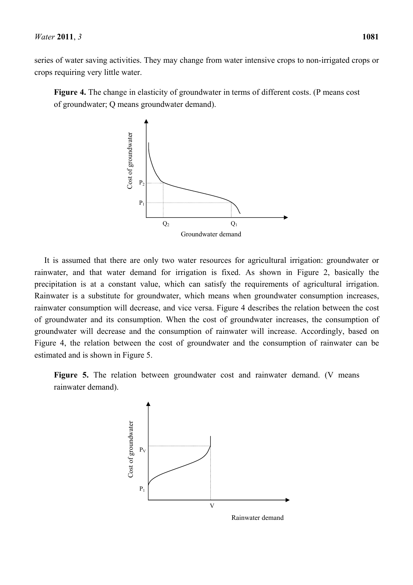series of water saving activities. They may change from water intensive crops to non-irrigated crops or crops requiring very little water.

**Figure 4.** The change in elasticity of groundwater in terms of different costs. (P means cost of groundwater; Q means groundwater demand).



It is assumed that there are only two water resources for agricultural irrigation: groundwater or rainwater, and that water demand for irrigation is fixed. As shown in Figure 2, basically the precipitation is at a constant value, which can satisfy the requirements of agricultural irrigation. Rainwater is a substitute for groundwater, which means when groundwater consumption increases, rainwater consumption will decrease, and vice versa. Figure 4 describes the relation between the cost of groundwater and its consumption. When the cost of groundwater increases, the consumption of groundwater will decrease and the consumption of rainwater will increase. Accordingly, based on Figure 4, the relation between the cost of groundwater and the consumption of rainwater can be estimated and is shown in Figure 5.

Figure 5. The relation between groundwater cost and rainwater demand. (V means rainwater demand).

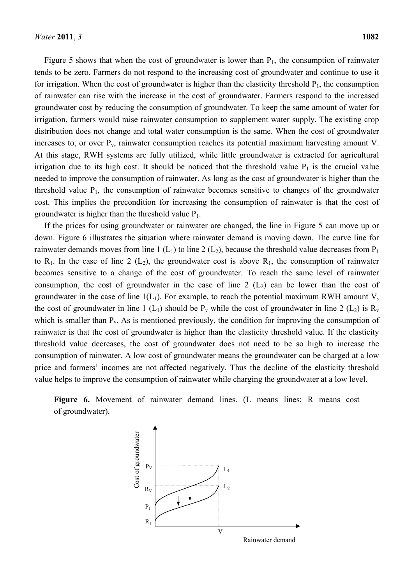Figure 5 shows that when the cost of groundwater is lower than  $P_1$ , the consumption of rainwater tends to be zero. Farmers do not respond to the increasing cost of groundwater and continue to use it for irrigation. When the cost of groundwater is higher than the elasticity threshold  $P_1$ , the consumption of rainwater can rise with the increase in the cost of groundwater. Farmers respond to the increased groundwater cost by reducing the consumption of groundwater. To keep the same amount of water for irrigation, farmers would raise rainwater consumption to supplement water supply. The existing crop distribution does not change and total water consumption is the same. When the cost of groundwater increases to, or over P<sub>v</sub>, rainwater consumption reaches its potential maximum harvesting amount V. At this stage, RWH systems are fully utilized, while little groundwater is extracted for agricultural irrigation due to its high cost. It should be noticed that the threshold value  $P_1$  is the crucial value needed to improve the consumption of rainwater. As long as the cost of groundwater is higher than the threshold value  $P_1$ , the consumption of rainwater becomes sensitive to changes of the groundwater cost. This implies the precondition for increasing the consumption of rainwater is that the cost of groundwater is higher than the threshold value  $P_1$ .

If the prices for using groundwater or rainwater are changed, the line in Figure 5 can move up or down. Figure 6 illustrates the situation where rainwater demand is moving down. The curve line for rainwater demands moves from line 1 ( $L_1$ ) to line 2 ( $L_2$ ), because the threshold value decreases from  $P_1$ to  $R_1$ . In the case of line 2 (L<sub>2</sub>), the groundwater cost is above  $R_1$ , the consumption of rainwater becomes sensitive to a change of the cost of groundwater. To reach the same level of rainwater consumption, the cost of groundwater in the case of line  $2(L_2)$  can be lower than the cost of groundwater in the case of line  $1(L_1)$ . For example, to reach the potential maximum RWH amount V, the cost of groundwater in line 1 (L<sub>1</sub>) should be  $P_v$  while the cost of groundwater in line 2 (L<sub>2</sub>) is  $R_v$ which is smaller than  $P_y$ . As is mentioned previously, the condition for improving the consumption of rainwater is that the cost of groundwater is higher than the elasticity threshold value. If the elasticity threshold value decreases, the cost of groundwater does not need to be so high to increase the consumption of rainwater. A low cost of groundwater means the groundwater can be charged at a low price and farmers' incomes are not affected negatively. Thus the decline of the elasticity threshold value helps to improve the consumption of rainwater while charging the groundwater at a low level.

Figure 6. Movement of rainwater demand lines. (L means lines; R means cost of groundwater).

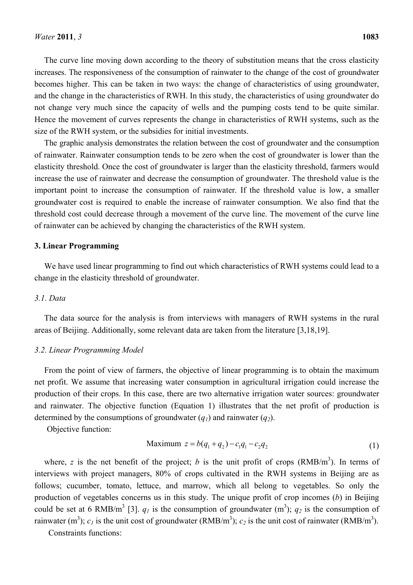The curve line moving down according to the theory of substitution means that the cross elasticity increases. The responsiveness of the consumption of rainwater to the change of the cost of groundwater becomes higher. This can be taken in two ways: the change of characteristics of using groundwater, and the change in the characteristics of RWH. In this study, the characteristics of using groundwater do not change very much since the capacity of wells and the pumping costs tend to be quite similar. Hence the movement of curves represents the change in characteristics of RWH systems, such as the size of the RWH system, or the subsidies for initial investments.

The graphic analysis demonstrates the relation between the cost of groundwater and the consumption of rainwater. Rainwater consumption tends to be zero when the cost of groundwater is lower than the elasticity threshold. Once the cost of groundwater is larger than the elasticity threshold, farmers would increase the use of rainwater and decrease the consumption of groundwater. The threshold value is the important point to increase the consumption of rainwater. If the threshold value is low, a smaller groundwater cost is required to enable the increase of rainwater consumption. We also find that the threshold cost could decrease through a movement of the curve line. The movement of the curve line of rainwater can be achieved by changing the characteristics of the RWH system.

#### **3. Linear Programming**

We have used linear programming to find out which characteristics of RWH systems could lead to a change in the elasticity threshold of groundwater.

#### *3.1. Data*

The data source for the analysis is from interviews with managers of RWH systems in the rural areas of Beijing. Additionally, some relevant data are taken from the literature [3,18,19].

#### *3.2. Linear Programming Model*

From the point of view of farmers, the objective of linear programming is to obtain the maximum net profit. We assume that increasing water consumption in agricultural irrigation could increase the production of their crops. In this case, there are two alternative irrigation water sources: groundwater and rainwater. The objective function (Equation 1) illustrates that the net profit of production is determined by the consumptions of groundwater  $(q_1)$  and rainwater  $(q_2)$ .

Objective function:

Maximum 
$$
z = b(q_1 + q_2) - c_1 q_1 - c_2 q_2
$$
 (1)

where, *z* is the net benefit of the project; *b* is the unit profit of crops  $(RMB/m<sup>3</sup>)$ . In terms of interviews with project managers, 80% of crops cultivated in the RWH systems in Beijing are as follows; cucumber, tomato, lettuce, and marrow, which all belong to vegetables. So only the production of vegetables concerns us in this study. The unique profit of crop incomes (*b*) in Beijing could be set at 6 RMB/m<sup>3</sup> [3].  $q_1$  is the consumption of groundwater (m<sup>3</sup>);  $q_2$  is the consumption of rainwater (m<sup>3</sup>);  $c_1$  is the unit cost of groundwater (RMB/m<sup>3</sup>);  $c_2$  is the unit cost of rainwater (RMB/m<sup>3</sup>).

Constraints functions: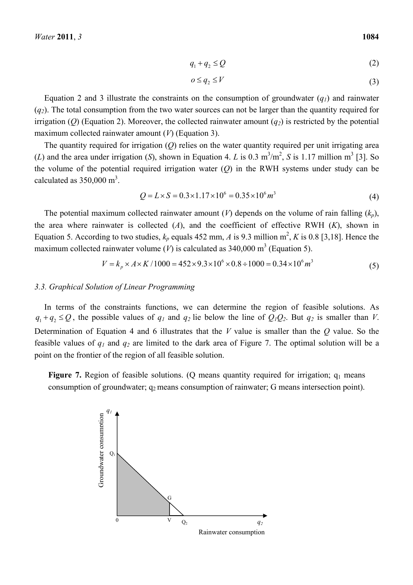$$
q_1 + q_2 \le Q \tag{2}
$$

$$
o \le q_2 \le V \tag{3}
$$

Equation 2 and 3 illustrate the constraints on the consumption of groundwater  $(q_1)$  and rainwater (*q2*). The total consumption from the two water sources can not be larger than the quantity required for irrigation (*Q*) (Equation 2). Moreover, the collected rainwater amount  $(q_2)$  is restricted by the potential maximum collected rainwater amount (*V*) (Equation 3).

The quantity required for irrigation (*Q*) relies on the water quantity required per unit irrigating area (*L*) and the area under irrigation (*S*), shown in Equation 4. *L* is 0.3 m<sup>3</sup>/m<sup>2</sup>, *S* is 1.17 million m<sup>3</sup> [3]. So the volume of the potential required irrigation water (*Q*) in the RWH systems under study can be calculated as  $350,000 \text{ m}^3$ .

$$
Q = L \times S = 0.3 \times 1.17 \times 10^6 = 0.35 \times 10^6 m^3
$$
 (4)

The potential maximum collected rainwater amount  $(V)$  depends on the volume of rain falling  $(k_p)$ , the area where rainwater is collected (*A*), and the coefficient of effective RWH (*K*), shown in Equation 5. According to two studies,  $k_p$  equals 452 mm, *A* is 9.3 million m<sup>2</sup>, *K* is 0.8 [3,18]. Hence the maximum collected rainwater volume (*V*) is calculated as  $340,000 \text{ m}^3$  (Equation 5).

$$
V = k_p \times A \times K / 1000 = 452 \times 9.3 \times 10^6 \times 0.8 \div 1000 = 0.34 \times 10^6 m^3
$$
 (5)

#### *3.3. Graphical Solution of Linear Programming*

In terms of the constraints functions, we can determine the region of feasible solutions. As  $q_1 + q_2 \leq Q$ , the possible values of  $q_1$  and  $q_2$  lie below the line of  $Q_1Q_2$ . But  $q_2$  is smaller than *V*. Determination of Equation 4 and 6 illustrates that the *V* value is smaller than the *Q* value. So the feasible values of *q1* and *q2* are limited to the dark area of Figure 7. The optimal solution will be a point on the frontier of the region of all feasible solution.

**Figure 7.** Region of feasible solutions. (Q means quantity required for irrigation; q<sub>1</sub> means consumption of groundwater;  $q_2$  means consumption of rainwater; G means intersection point).

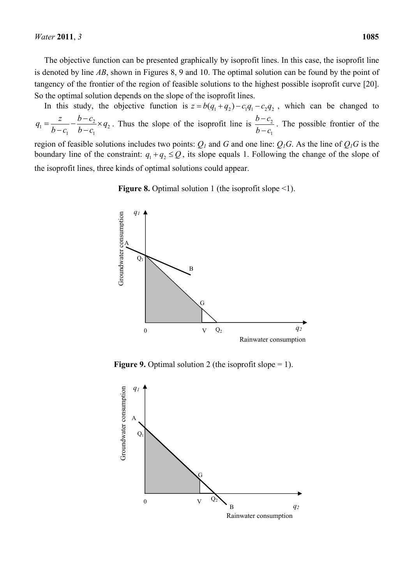The objective function can be presented graphically by isoprofit lines. In this case, the isoprofit line is denoted by line *AB*, shown in Figures 8, 9 and 10. The optimal solution can be found by the point of tangency of the frontier of the region of feasible solutions to the highest possible isoprofit curve [20]. So the optimal solution depends on the slope of the isoprofit lines.

In this study, the objective function is  $z = b(q_1 + q_2) - c_1 q_1 - c_2 q_2$ , which can be changed to  $q_1 = \frac{2}{1} - \frac{b}{1} - \frac{c_2}{2} \times q_2$  $1 \quad 0^$  $q_1 = \frac{z}{b-c_1} - \frac{b-c_2}{b-c_1} \times q_2$ . Thus the slope of the isoprofit line is  $\frac{b-c_2}{b-c_1}$  $b - c$  $b - c$  $\frac{-c_2}{-c_1}$ . The possible frontier of the region of feasible solutions includes two points:  $Q_l$  and  $G$  and one line:  $Q_lG$ . As the line of  $Q_lG$  is the boundary line of the constraint:  $q_1 + q_2 \leq Q$ , its slope equals 1. Following the change of the slope of the isoprofit lines, three kinds of optimal solutions could appear.

**Figure 8.** Optimal solution 1 (the isoprofit slope <1).



**Figure 9.** Optimal solution 2 (the isoprofit slope = 1).

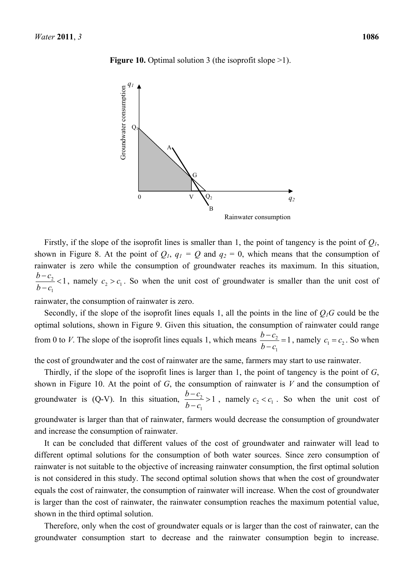

Firstly, if the slope of the isoprofit lines is smaller than 1, the point of tangency is the point of *Q1*, shown in Figure 8. At the point of  $Q_1$ ,  $q_1 = Q$  and  $q_2 = 0$ , which means that the consumption of rainwater is zero while the consumption of groundwater reaches its maximum. In this situation, 2 1  $\frac{b-c_2}{1}$  < 1  $\frac{b-c_2}{b-c_1}$  < 1, namely  $c_2 > c_1$ . So when the unit cost of groundwater is smaller than the unit cost of

rainwater, the consumption of rainwater is zero.

Secondly, if the slope of the isoprofit lines equals 1, all the points in the line of *Q1G* could be the optimal solutions, shown in Figure 9. Given this situation, the consumption of rainwater could range from 0 to *V*. The slope of the isoprofit lines equals 1, which means  $\frac{6}{10}$ 1  $\frac{b-c_2}{1} = 1$  $\frac{b-c_2}{b-c_1}$  = 1, namely  $c_1 = c_2$ . So when

the cost of groundwater and the cost of rainwater are the same, farmers may start to use rainwater.

Thirdly, if the slope of the isoprofit lines is larger than 1, the point of tangency is the point of *G*, shown in Figure 10. At the point of *G*, the consumption of rainwater is *V* and the consumption of groundwater is (Q-V). In this situation,  $\frac{b}{1}$ 1  $\frac{b-c_2}{1} > 1$  $\frac{b-c_2}{b-c_1}$  > 1, namely  $c_2 < c_1$ . So when the unit cost of

groundwater is larger than that of rainwater, farmers would decrease the consumption of groundwater and increase the consumption of rainwater.

It can be concluded that different values of the cost of groundwater and rainwater will lead to different optimal solutions for the consumption of both water sources. Since zero consumption of rainwater is not suitable to the objective of increasing rainwater consumption, the first optimal solution is not considered in this study. The second optimal solution shows that when the cost of groundwater equals the cost of rainwater, the consumption of rainwater will increase. When the cost of groundwater is larger than the cost of rainwater, the rainwater consumption reaches the maximum potential value, shown in the third optimal solution.

Therefore, only when the cost of groundwater equals or is larger than the cost of rainwater, can the groundwater consumption start to decrease and the rainwater consumption begin to increase.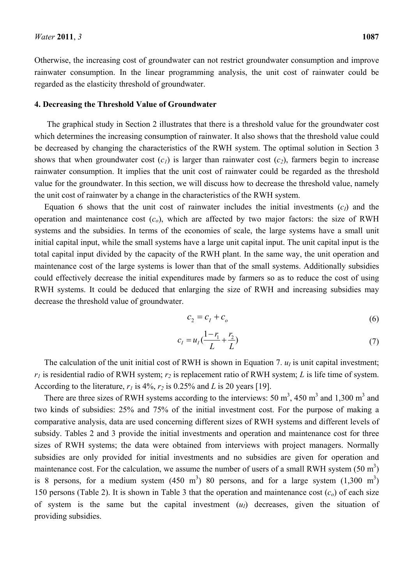Otherwise, the increasing cost of groundwater can not restrict groundwater consumption and improve rainwater consumption. In the linear programming analysis, the unit cost of rainwater could be regarded as the elasticity threshold of groundwater.

# **4. Decreasing the Threshold Value of Groundwater**

The graphical study in Section 2 illustrates that there is a threshold value for the groundwater cost which determines the increasing consumption of rainwater. It also shows that the threshold value could be decreased by changing the characteristics of the RWH system. The optimal solution in Section 3 shows that when groundwater cost  $(c_1)$  is larger than rainwater cost  $(c_2)$ , farmers begin to increase rainwater consumption. It implies that the unit cost of rainwater could be regarded as the threshold value for the groundwater. In this section, we will discuss how to decrease the threshold value, namely the unit cost of rainwater by a change in the characteristics of the RWH system.

Equation 6 shows that the unit cost of rainwater includes the initial investments  $(c<sub>l</sub>)$  and the operation and maintenance cost  $(c_0)$ , which are affected by two major factors: the size of RWH systems and the subsidies. In terms of the economies of scale, the large systems have a small unit initial capital input, while the small systems have a large unit capital input. The unit capital input is the total capital input divided by the capacity of the RWH plant. In the same way, the unit operation and maintenance cost of the large systems is lower than that of the small systems. Additionally subsidies could effectively decrease the initial expenditures made by farmers so as to reduce the cost of using RWH systems. It could be deduced that enlarging the size of RWH and increasing subsidies may decrease the threshold value of groundwater.

$$
c_2 = c_1 + c_o \tag{6}
$$

$$
c_{I} = u_{I} \left( \frac{1 - r_{1}}{L} + \frac{r_{2}}{L} \right) \tag{7}
$$

The calculation of the unit initial cost of RWH is shown in Equation 7.  $u<sub>I</sub>$  is unit capital investment;  $r_1$  is residential radio of RWH system;  $r_2$  is replacement ratio of RWH system; *L* is life time of system. According to the literature,  $r_1$  is 4%,  $r_2$  is 0.25% and *L* is 20 years [19].

There are three sizes of RWH systems according to the interviews: 50  $\text{m}^3$ , 450  $\text{m}^3$  and 1,300  $\text{m}^3$  and two kinds of subsidies: 25% and 75% of the initial investment cost. For the purpose of making a comparative analysis, data are used concerning different sizes of RWH systems and different levels of subsidy. Tables 2 and 3 provide the initial investments and operation and maintenance cost for three sizes of RWH systems; the data were obtained from interviews with project managers. Normally subsidies are only provided for initial investments and no subsidies are given for operation and maintenance cost. For the calculation, we assume the number of users of a small RWH system  $(50 \text{ m}^3)$ is 8 persons, for a medium system  $(450 \text{ m}^3)$  80 persons, and for a large system  $(1,300 \text{ m}^3)$ 150 persons (Table 2). It is shown in Table 3 that the operation and maintenance cost  $(c_0)$  of each size of system is the same but the capital investment  $(u<sub>l</sub>)$  decreases, given the situation of providing subsidies.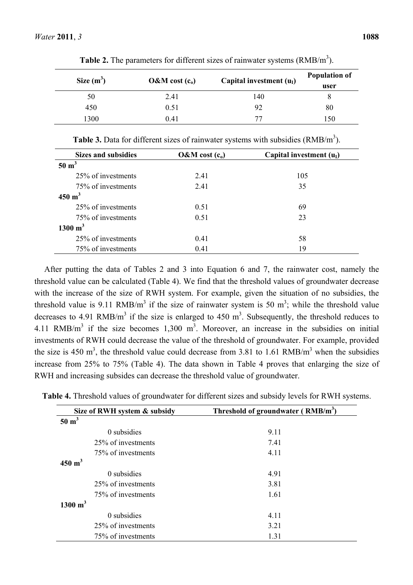| Size $(m^3)$ |      | O&M cost $(c_0)$ | Capital investment $(u_I)$ | <b>Population of</b><br>user |
|--------------|------|------------------|----------------------------|------------------------------|
|              | 50   | 2.41             | 140                        |                              |
|              | 450  | 0.51             | 92                         | 80                           |
|              | 1300 | 0.41             | 77                         | .50                          |

**Table 2.** The parameters for different sizes of rainwater systems  $(RMB/m<sup>3</sup>)$ .

**Table 3.** Data for different sizes of rainwater systems with subsidies  $(RMB/m<sup>3</sup>)$ .

| Sizes and subsidies | O&M cost $(c_0)$ | Capital investment $(uI)$ |
|---------------------|------------------|---------------------------|
| $50 \text{ m}^3$    |                  |                           |
| 25% of investments  | 2.41             | 105                       |
| 75% of investments  | 2.41             | 35                        |
| $450 \text{ m}^3$   |                  |                           |
| 25% of investments  | 0.51             | 69                        |
| 75% of investments  | 0.51             | 23                        |
| $1300 \text{ m}^3$  |                  |                           |
| 25% of investments  | 0.41             | 58                        |
| 75% of investments  | 0.41             | 19                        |

After putting the data of Tables 2 and 3 into Equation 6 and 7, the rainwater cost, namely the threshold value can be calculated (Table 4). We find that the threshold values of groundwater decrease with the increase of the size of RWH system. For example, given the situation of no subsidies, the threshold value is 9.11 RMB/m<sup>3</sup> if the size of rainwater system is 50 m<sup>3</sup>; while the threshold value decreases to 4.91 RMB/m<sup>3</sup> if the size is enlarged to 450 m<sup>3</sup>. Subsequently, the threshold reduces to 4.11 RMB/m<sup>3</sup> if the size becomes 1,300 m<sup>3</sup>. Moreover, an increase in the subsidies on initial investments of RWH could decrease the value of the threshold of groundwater. For example, provided the size is 450 m<sup>3</sup>, the threshold value could decrease from 3.81 to 1.61 RMB/m<sup>3</sup> when the subsidies increase from 25% to 75% (Table 4). The data shown in Table 4 proves that enlarging the size of RWH and increasing subsides can decrease the threshold value of groundwater.

| Table 4. Threshold values of groundwater for different sizes and subsidy levels for RWH systems. |  |
|--------------------------------------------------------------------------------------------------|--|
|--------------------------------------------------------------------------------------------------|--|

| Size of RWH system & subsidy | Threshold of groundwater ( $RMB/m3$ ) |  |
|------------------------------|---------------------------------------|--|
| $50 \text{ m}^3$             |                                       |  |
| 0 subsidies                  | 9.11                                  |  |
| 25% of investments           | 7.41                                  |  |
| 75% of investments           | 4.11                                  |  |
| $450 \text{ m}^3$            |                                       |  |
| 0 subsidies                  | 4.91                                  |  |
| 25% of investments           | 3.81                                  |  |
| 75% of investments           | 1.61                                  |  |
| $1300 \text{ m}^3$           |                                       |  |
| 0 subsidies                  | 4.11                                  |  |
| 25% of investments           | 3.21                                  |  |
| 75% of investments           | 1.31                                  |  |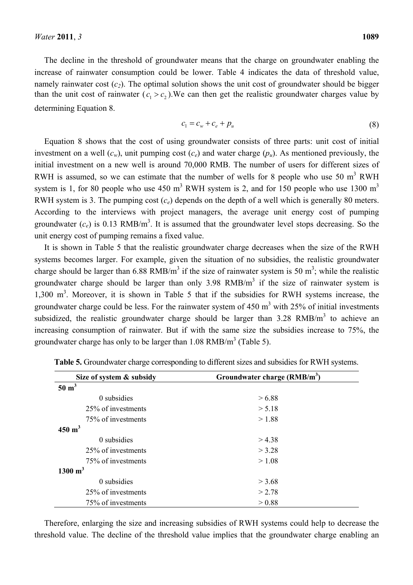The decline in the threshold of groundwater means that the charge on groundwater enabling the increase of rainwater consumption could be lower. Table 4 indicates the data of threshold value, namely rainwater cost  $(c_2)$ . The optimal solution shows the unit cost of groundwater should be bigger than the unit cost of rainwater  $(c_1 > c_2)$ . We can then get the realistic groundwater charges value by determining Equation 8.

$$
c_1 = c_w + c_e + p_u \tag{8}
$$

Equation 8 shows that the cost of using groundwater consists of three parts: unit cost of initial investment on a well  $(c_w)$ , unit pumping cost  $(c_e)$  and water charge  $(p_u)$ . As mentioned previously, the initial investment on a new well is around 70,000 RMB. The number of users for different sizes of RWH is assumed, so we can estimate that the number of wells for 8 people who use 50  $m<sup>3</sup>$  RWH system is 1, for 80 people who use 450  $m<sup>3</sup>$  RWH system is 2, and for 150 people who use 1300  $m<sup>3</sup>$ RWH system is 3. The pumping cost (*ce*) depends on the depth of a well which is generally 80 meters. According to the interviews with project managers, the average unit energy cost of pumping groundwater  $(c_e)$  is 0.13 RMB/m<sup>3</sup>. It is assumed that the groundwater level stops decreasing. So the unit energy cost of pumping remains a fixed value.

It is shown in Table 5 that the realistic groundwater charge decreases when the size of the RWH systems becomes larger. For example, given the situation of no subsidies, the realistic groundwater charge should be larger than 6.88 RMB/m<sup>3</sup> if the size of rainwater system is 50 m<sup>3</sup>; while the realistic groundwater charge should be larger than only  $3.98$  RMB/m<sup>3</sup> if the size of rainwater system is 1,300 m<sup>3</sup>. Moreover, it is shown in Table 5 that if the subsidies for RWH systems increase, the groundwater charge could be less. For the rainwater system of 450  $m<sup>3</sup>$  with 25% of initial investments subsidized, the realistic groundwater charge should be larger than  $3.28$  RMB/m<sup>3</sup> to achieve an increasing consumption of rainwater. But if with the same size the subsidies increase to 75%, the groundwater charge has only to be larger than  $1.08 \text{ RMB/m}^3$  (Table 5).

| Size of system & subsidy | Groundwater charge $(RMB/m3)$ |  |
|--------------------------|-------------------------------|--|
| $50 \text{ m}^3$         |                               |  |
| 0 subsidies              | > 6.88                        |  |
| 25% of investments       | > 5.18                        |  |
| 75% of investments       | >1.88                         |  |
| $450 \text{ m}^3$        |                               |  |
| 0 subsidies              | >4.38                         |  |
| 25% of investments       | > 3.28                        |  |
| 75% of investments       | > 1.08                        |  |
| $1300 \; \mathrm{m}^3$   |                               |  |
| 0 subsidies              | > 3.68                        |  |
| 25% of investments       | > 2.78                        |  |
| 75% of investments       | > 0.88                        |  |

**Table 5.** Groundwater charge corresponding to different sizes and subsidies for RWH systems.

Therefore, enlarging the size and increasing subsidies of RWH systems could help to decrease the threshold value. The decline of the threshold value implies that the groundwater charge enabling an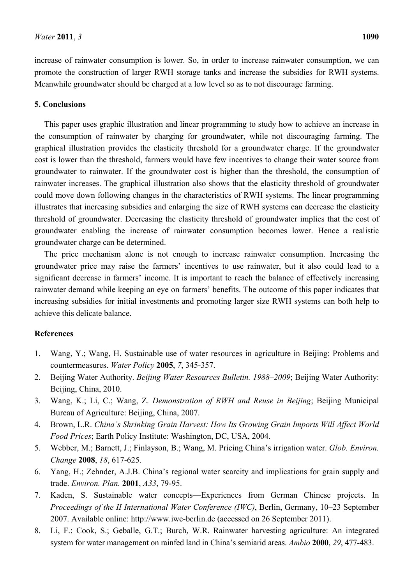increase of rainwater consumption is lower. So, in order to increase rainwater consumption, we can promote the construction of larger RWH storage tanks and increase the subsidies for RWH systems. Meanwhile groundwater should be charged at a low level so as to not discourage farming.

## **5. Conclusions**

This paper uses graphic illustration and linear programming to study how to achieve an increase in the consumption of rainwater by charging for groundwater, while not discouraging farming. The graphical illustration provides the elasticity threshold for a groundwater charge. If the groundwater cost is lower than the threshold, farmers would have few incentives to change their water source from groundwater to rainwater. If the groundwater cost is higher than the threshold, the consumption of rainwater increases. The graphical illustration also shows that the elasticity threshold of groundwater could move down following changes in the characteristics of RWH systems. The linear programming illustrates that increasing subsidies and enlarging the size of RWH systems can decrease the elasticity threshold of groundwater. Decreasing the elasticity threshold of groundwater implies that the cost of groundwater enabling the increase of rainwater consumption becomes lower. Hence a realistic groundwater charge can be determined.

The price mechanism alone is not enough to increase rainwater consumption. Increasing the groundwater price may raise the farmers' incentives to use rainwater, but it also could lead to a significant decrease in farmers' income. It is important to reach the balance of effectively increasing rainwater demand while keeping an eye on farmers' benefits. The outcome of this paper indicates that increasing subsidies for initial investments and promoting larger size RWH systems can both help to achieve this delicate balance.

## **References**

- 1. Wang, Y.; Wang, H. Sustainable use of water resources in agriculture in Beijing: Problems and countermeasures. *Water Policy* **2005**, *7*, 345-357.
- 2. Beijing Water Authority. *Beijing Water Resources Bulletin. 1988–2009*; Beijing Water Authority: Beijing, China, 2010.
- 3. Wang, K.; Li, C.; Wang, Z. *Demonstration of RWH and Reuse in Beijing*; Beijing Municipal Bureau of Agriculture: Beijing, China, 2007.
- 4. Brown, L.R. *China's Shrinking Grain Harvest: How Its Growing Grain Imports Will Affect World Food Prices*; Earth Policy Institute: Washington, DC, USA, 2004.
- 5. Webber, M.; Barnett, J.; Finlayson, B.; Wang, M. Pricing China's irrigation water. *Glob. Environ. Change* **2008**, *18*, 617-625.
- 6. Yang, H.; Zehnder, A.J.B. China's regional water scarcity and implications for grain supply and trade. *Environ. Plan.* **2001**, *A33*, 79-95.
- 7. Kaden, S. Sustainable water concepts—Experiences from German Chinese projects. In *Proceedings of the II International Water Conference (IWC)*, Berlin, Germany, 10–23 September 2007. Available online: http://www.iwc-berlin.de (accessed on 26 September 2011).
- 8. Li, F.; Cook, S.; Geballe, G.T.; Burch, W.R. Rainwater harvesting agriculture: An integrated system for water management on rainfed land in China's semiarid areas. *Ambio* **2000**, *29*, 477-483.